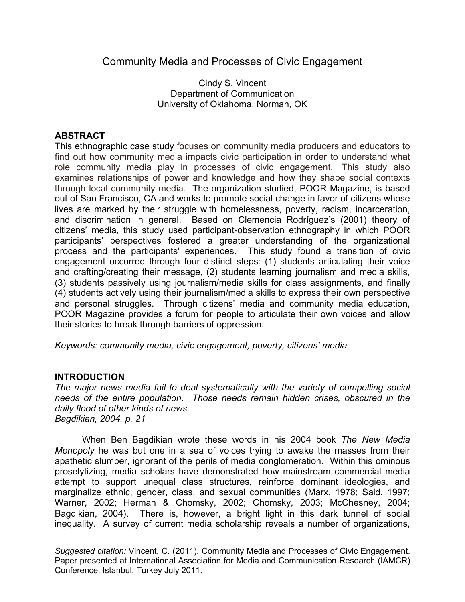# Community Media and Processes of Civic Engagement

Cindy S. Vincent Department of Communication University of Oklahoma, Norman, OK

# **ABSTRACT**

This ethnographic case study focuses on community media producers and educators to find out how community media impacts civic participation in order to understand what role community media play in processes of civic engagement. This study also examines relationships of power and knowledge and how they shape social contexts through local community media. The organization studied, POOR Magazine, is based out of San Francisco, CA and works to promote social change in favor of citizens whose lives are marked by their struggle with homelessness, poverty, racism, incarceration, and discrimination in general. Based on Clemencia Rodríguez's (2001) theory of citizens' media, this study used participant-observation ethnography in which POOR participants' perspectives fostered a greater understanding of the organizational process and the participants' experiences. This study found a transition of civic engagement occurred through four distinct steps: (1) students articulating their voice and crafting/creating their message, (2) students learning journalism and media skills, (3) students passively using journalism/media skills for class assignments, and finally (4) students actively using their journalism/media skills to express their own perspective and personal struggles. Through citizens' media and community media education, POOR Magazine provides a forum for people to articulate their own voices and allow their stories to break through barriers of oppression.

*Keywords: community media, civic engagement, poverty, citizens' media*

## **INTRODUCTION**

*The major news media fail to deal systematically with the variety of compelling social needs of the entire population. Those needs remain hidden crises, obscured in the daily flood of other kinds of news. Bagdikian, 2004, p. 21*

When Ben Bagdikian wrote these words in his 2004 book *The New Media Monopoly* he was but one in a sea of voices trying to awake the masses from their apathetic slumber, ignorant of the perils of media conglomeration. Within this ominous proselytizing, media scholars have demonstrated how mainstream commercial media attempt to support unequal class structures, reinforce dominant ideologies, and marginalize ethnic, gender, class, and sexual communities (Marx, 1978; Said, 1997; Warner, 2002; Herman & Chomsky, 2002; Chomsky, 2003; McChesney, 2004; Bagdikian, 2004). There is, however, a bright light in this dark tunnel of social inequality. A survey of current media scholarship reveals a number of organizations,

*Suggested citation:* Vincent, C. (2011). Community Media and Processes of Civic Engagement. Paper presented at International Association for Media and Communication Research (IAMCR) Conference. Istanbul, Turkey July 2011.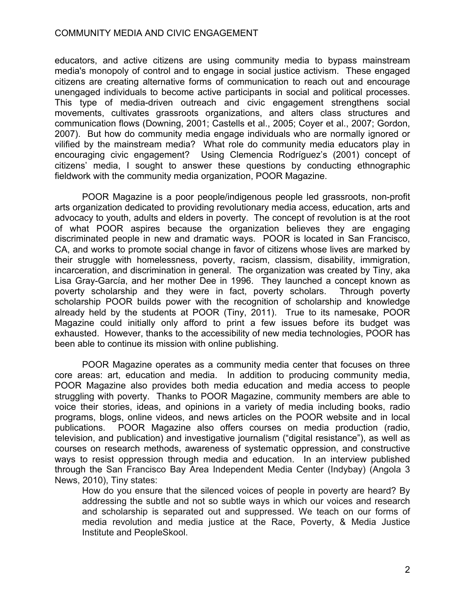educators, and active citizens are using community media to bypass mainstream media's monopoly of control and to engage in social justice activism. These engaged citizens are creating alternative forms of communication to reach out and encourage unengaged individuals to become active participants in social and political processes. This type of media-driven outreach and civic engagement strengthens social movements, cultivates grassroots organizations, and alters class structures and communication flows (Downing, 2001; Castells et al., 2005; Coyer et al., 2007; Gordon, 2007). But how do community media engage individuals who are normally ignored or vilified by the mainstream media? What role do community media educators play in encouraging civic engagement? Using Clemencia Rodríguez's (2001) concept of citizens' media, I sought to answer these questions by conducting ethnographic fieldwork with the community media organization, POOR Magazine.

POOR Magazine is a poor people/indigenous people led grassroots, non-profit arts organization dedicated to providing revolutionary media access, education, arts and advocacy to youth, adults and elders in poverty. The concept of revolution is at the root of what POOR aspires because the organization believes they are engaging discriminated people in new and dramatic ways. POOR is located in San Francisco, CA, and works to promote social change in favor of citizens whose lives are marked by their struggle with homelessness, poverty, racism, classism, disability, immigration, incarceration, and discrimination in general. The organization was created by Tiny, aka Lisa Gray-García, and her mother Dee in 1996. They launched a concept known as poverty scholarship and they were in fact, poverty scholars. Through poverty scholarship POOR builds power with the recognition of scholarship and knowledge already held by the students at POOR (Tiny, 2011). True to its namesake, POOR Magazine could initially only afford to print a few issues before its budget was exhausted. However, thanks to the accessibility of new media technologies, POOR has been able to continue its mission with online publishing.

POOR Magazine operates as a community media center that focuses on three core areas: art, education and media. In addition to producing community media, POOR Magazine also provides both media education and media access to people struggling with poverty. Thanks to POOR Magazine, community members are able to voice their stories, ideas, and opinions in a variety of media including books, radio programs, blogs, online videos, and news articles on the POOR website and in local publications. POOR Magazine also offers courses on media production (radio, television, and publication) and investigative journalism ("digital resistance"), as well as courses on research methods, awareness of systematic oppression, and constructive ways to resist oppression through media and education. In an interview published through the San Francisco Bay Area Independent Media Center (Indybay) (Angola 3 News, 2010), Tiny states:

How do you ensure that the silenced voices of people in poverty are heard? By addressing the subtle and not so subtle ways in which our voices and research and scholarship is separated out and suppressed. We teach on our forms of media revolution and media justice at the Race, Poverty, & Media Justice Institute and PeopleSkool.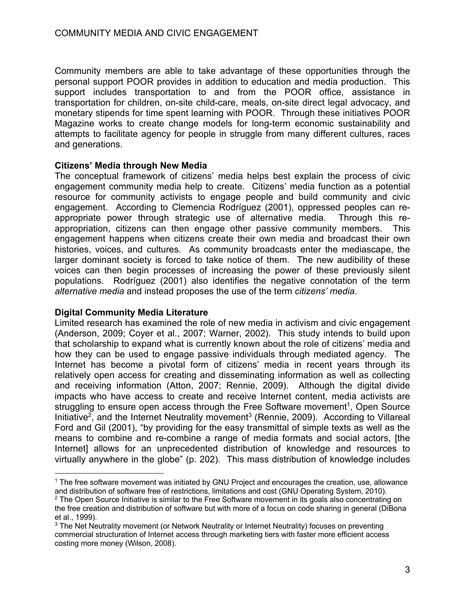Community members are able to take advantage of these opportunities through the personal support POOR provides in addition to education and media production. This support includes transportation to and from the POOR office, assistance in transportation for children, on-site child-care, meals, on-site direct legal advocacy, and monetary stipends for time spent learning with POOR. Through these initiatives POOR Magazine works to create change models for long-term economic sustainability and attempts to facilitate agency for people in struggle from many different cultures, races and generations.

## **Citizens' Media through New Media**

The conceptual framework of citizens' media helps best explain the process of civic engagement community media help to create. Citizens' media function as a potential resource for community activists to engage people and build community and civic engagement. According to Clemencia Rodríguez (2001), oppressed peoples can reappropriate power through strategic use of alternative media. Through this reappropriation, citizens can then engage other passive community members. This engagement happens when citizens create their own media and broadcast their own histories, voices, and cultures. As community broadcasts enter the mediascape, the larger dominant society is forced to take notice of them. The new audibility of these voices can then begin processes of increasing the power of these previously silent populations. Rodríguez (2001) also identifies the negative connotation of the term *alternative media* and instead proposes the use of the term *citizens' media*.

## **Digital Community Media Literature**

Limited research has examined the role of new media in activism and civic engagement (Anderson, 2009; Coyer et al., 2007; Warner, 2002). This study intends to build upon that scholarship to expand what is currently known about the role of citizens' media and how they can be used to engage passive individuals through mediated agency. The Internet has become a pivotal form of citizens' media in recent years through its relatively open access for creating and disseminating information as well as collecting and receiving information (Atton, 2007; Rennie, 2009). Although the digital divide impacts who have access to create and receive Internet content, media activists are struggling to ensure open access through the Free Software movement<sup>1</sup>. Open Source Initiative<sup>2</sup>, and the Internet Neutrality movement<sup>3</sup> (Rennie, 2009). According to Villareal Ford and Gil (2001), "by providing for the easy transmittal of simple texts as well as the means to combine and re-combine a range of media formats and social actors, [the Internet] allows for an unprecedented distribution of knowledge and resources to virtually anywhere in the globe" (p. 202). This mass distribution of knowledge includes

<sup>1</sup> The free software movement was initiated by GNU Project and encourages the creation, use, allowance and distribution of software free of restrictions, limitations and cost (GNU Operating System, 2010).

 $2$  The Open Source Initiative is similar to the Free Software movement in its goals also concentrating on the free creation and distribution of software but with more of a focus on code sharing in general (DiBona et al., 1999).

<sup>&</sup>lt;sup>3</sup> The Net Neutrality movement (or Network Neutrality or Internet Neutrality) focuses on preventing commercial structuration of Internet access through marketing tiers with faster more efficient access costing more money (Wilson, 2008).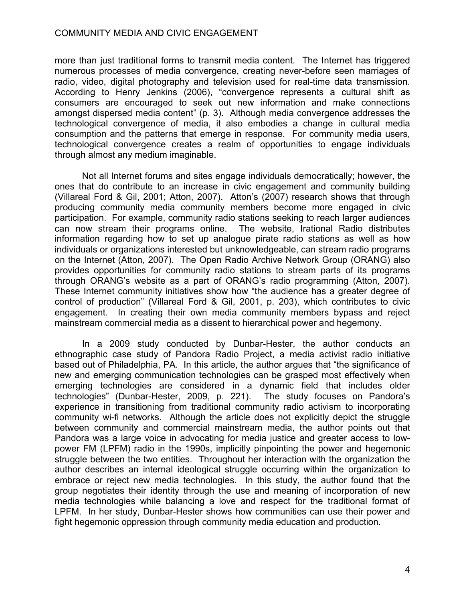more than just traditional forms to transmit media content. The Internet has triggered numerous processes of media convergence, creating never-before seen marriages of radio, video, digital photography and television used for real-time data transmission. According to Henry Jenkins (2006), "convergence represents a cultural shift as consumers are encouraged to seek out new information and make connections amongst dispersed media content" (p. 3). Although media convergence addresses the technological convergence of media, it also embodies a change in cultural media consumption and the patterns that emerge in response. For community media users, technological convergence creates a realm of opportunities to engage individuals through almost any medium imaginable.

Not all Internet forums and sites engage individuals democratically; however, the ones that do contribute to an increase in civic engagement and community building (Villareal Ford & Gil, 2001; Atton, 2007). Atton's (2007) research shows that through producing community media community members become more engaged in civic participation. For example, community radio stations seeking to reach larger audiences can now stream their programs online. The website, Irational Radio distributes information regarding how to set up analogue pirate radio stations as well as how individuals or organizations interested but unknowledgeable, can stream radio programs on the Internet (Atton, 2007). The Open Radio Archive Network Group (ORANG) also provides opportunities for community radio stations to stream parts of its programs through ORANG's website as a part of ORANG's radio programming (Atton, 2007). These Internet community initiatives show how "the audience has a greater degree of control of production" (Villareal Ford & Gil, 2001, p. 203), which contributes to civic engagement. In creating their own media community members bypass and reject mainstream commercial media as a dissent to hierarchical power and hegemony.

In a 2009 study conducted by Dunbar-Hester, the author conducts an ethnographic case study of Pandora Radio Project, a media activist radio initiative based out of Philadelphia, PA. In this article, the author argues that "the significance of new and emerging communication technologies can be grasped most effectively when emerging technologies are considered in a dynamic field that includes older technologies" (Dunbar-Hester, 2009, p. 221). The study focuses on Pandora's experience in transitioning from traditional community radio activism to incorporating community wi-fi networks. Although the article does not explicitly depict the struggle between community and commercial mainstream media, the author points out that Pandora was a large voice in advocating for media justice and greater access to lowpower FM (LPFM) radio in the 1990s, implicitly pinpointing the power and hegemonic struggle between the two entities. Throughout her interaction with the organization the author describes an internal ideological struggle occurring within the organization to embrace or reject new media technologies. In this study, the author found that the group negotiates their identity through the use and meaning of incorporation of new media technologies while balancing a love and respect for the traditional format of LPFM. In her study, Dunbar-Hester shows how communities can use their power and fight hegemonic oppression through community media education and production.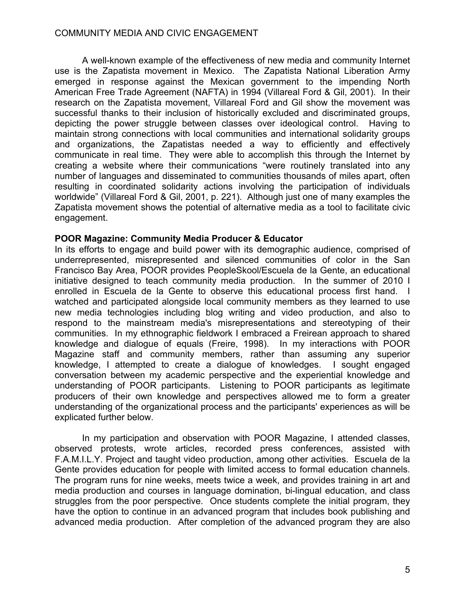A well-known example of the effectiveness of new media and community Internet use is the Zapatista movement in Mexico. The Zapatista National Liberation Army emerged in response against the Mexican government to the impending North American Free Trade Agreement (NAFTA) in 1994 (Villareal Ford & Gil, 2001). In their research on the Zapatista movement, Villareal Ford and Gil show the movement was successful thanks to their inclusion of historically excluded and discriminated groups, depicting the power struggle between classes over ideological control. Having to maintain strong connections with local communities and international solidarity groups and organizations, the Zapatistas needed a way to efficiently and effectively communicate in real time. They were able to accomplish this through the Internet by creating a website where their communications "were routinely translated into any number of languages and disseminated to communities thousands of miles apart, often resulting in coordinated solidarity actions involving the participation of individuals worldwide" (Villareal Ford & Gil, 2001, p. 221). Although just one of many examples the Zapatista movement shows the potential of alternative media as a tool to facilitate civic engagement.

#### **POOR Magazine: Community Media Producer & Educator**

In its efforts to engage and build power with its demographic audience, comprised of underrepresented, misrepresented and silenced communities of color in the San Francisco Bay Area, POOR provides PeopleSkool/Escuela de la Gente, an educational initiative designed to teach community media production. In the summer of 2010 I enrolled in Escuela de la Gente to observe this educational process first hand. I watched and participated alongside local community members as they learned to use new media technologies including blog writing and video production, and also to respond to the mainstream media's misrepresentations and stereotyping of their communities. In my ethnographic fieldwork I embraced a Freirean approach to shared knowledge and dialogue of equals (Freire, 1998). In my interactions with POOR Magazine staff and community members, rather than assuming any superior knowledge, I attempted to create a dialogue of knowledges. I sought engaged conversation between my academic perspective and the experiential knowledge and understanding of POOR participants. Listening to POOR participants as legitimate producers of their own knowledge and perspectives allowed me to form a greater understanding of the organizational process and the participants' experiences as will be explicated further below.

In my participation and observation with POOR Magazine, I attended classes, observed protests, wrote articles, recorded press conferences, assisted with F.A.M.I.L.Y. Project and taught video production, among other activities. Escuela de la Gente provides education for people with limited access to formal education channels. The program runs for nine weeks, meets twice a week, and provides training in art and media production and courses in language domination, bi-lingual education, and class struggles from the poor perspective. Once students complete the initial program, they have the option to continue in an advanced program that includes book publishing and advanced media production. After completion of the advanced program they are also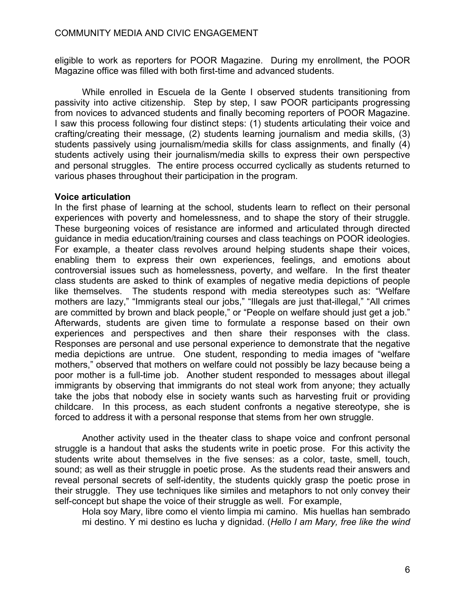eligible to work as reporters for POOR Magazine. During my enrollment, the POOR Magazine office was filled with both first-time and advanced students.

While enrolled in Escuela de la Gente I observed students transitioning from passivity into active citizenship. Step by step, I saw POOR participants progressing from novices to advanced students and finally becoming reporters of POOR Magazine. I saw this process following four distinct steps: (1) students articulating their voice and crafting/creating their message, (2) students learning journalism and media skills, (3) students passively using journalism/media skills for class assignments, and finally (4) students actively using their journalism/media skills to express their own perspective and personal struggles. The entire process occurred cyclically as students returned to various phases throughout their participation in the program.

## **Voice articulation**

In the first phase of learning at the school, students learn to reflect on their personal experiences with poverty and homelessness, and to shape the story of their struggle. These burgeoning voices of resistance are informed and articulated through directed guidance in media education/training courses and class teachings on POOR ideologies. For example, a theater class revolves around helping students shape their voices, enabling them to express their own experiences, feelings, and emotions about controversial issues such as homelessness, poverty, and welfare. In the first theater class students are asked to think of examples of negative media depictions of people like themselves. The students respond with media stereotypes such as: "Welfare mothers are lazy," "Immigrants steal our jobs," "Illegals are just that-illegal," "All crimes are committed by brown and black people," or "People on welfare should just get a job." Afterwards, students are given time to formulate a response based on their own experiences and perspectives and then share their responses with the class. Responses are personal and use personal experience to demonstrate that the negative media depictions are untrue. One student, responding to media images of "welfare mothers," observed that mothers on welfare could not possibly be lazy because being a poor mother is a full-time job. Another student responded to messages about illegal immigrants by observing that immigrants do not steal work from anyone; they actually take the jobs that nobody else in society wants such as harvesting fruit or providing childcare. In this process, as each student confronts a negative stereotype, she is forced to address it with a personal response that stems from her own struggle.

Another activity used in the theater class to shape voice and confront personal struggle is a handout that asks the students write in poetic prose. For this activity the students write about themselves in the five senses: as a color, taste, smell, touch, sound; as well as their struggle in poetic prose. As the students read their answers and reveal personal secrets of self-identity, the students quickly grasp the poetic prose in their struggle. They use techniques like similes and metaphors to not only convey their self-concept but shape the voice of their struggle as well. For example,

Hola soy Mary, libre como el viento limpia mi camino. Mis huellas han sembrado mi destino. Y mi destino es lucha y dignidad. (*Hello I am Mary, free like the wind*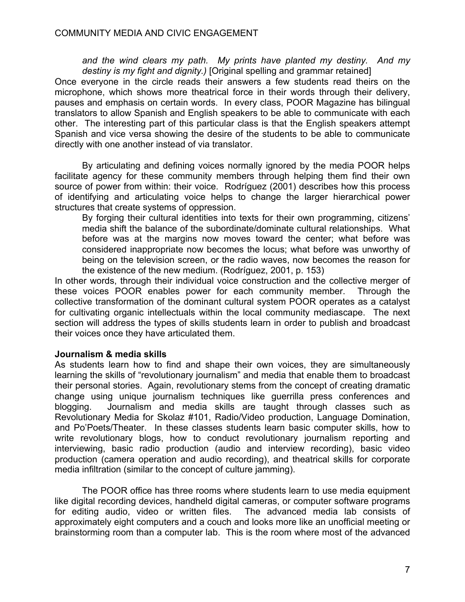*and the wind clears my path. My prints have planted my destiny. And my destiny is my fight and dignity.)* [Original spelling and grammar retained]

Once everyone in the circle reads their answers a few students read theirs on the microphone, which shows more theatrical force in their words through their delivery, pauses and emphasis on certain words. In every class, POOR Magazine has bilingual translators to allow Spanish and English speakers to be able to communicate with each other. The interesting part of this particular class is that the English speakers attempt Spanish and vice versa showing the desire of the students to be able to communicate directly with one another instead of via translator.

By articulating and defining voices normally ignored by the media POOR helps facilitate agency for these community members through helping them find their own source of power from within: their voice. Rodríguez (2001) describes how this process of identifying and articulating voice helps to change the larger hierarchical power structures that create systems of oppression.

By forging their cultural identities into texts for their own programming, citizens' media shift the balance of the subordinate/dominate cultural relationships. What before was at the margins now moves toward the center; what before was considered inappropriate now becomes the locus; what before was unworthy of being on the television screen, or the radio waves, now becomes the reason for the existence of the new medium. (Rodríguez, 2001, p. 153)

In other words, through their individual voice construction and the collective merger of these voices POOR enables power for each community member. Through the collective transformation of the dominant cultural system POOR operates as a catalyst for cultivating organic intellectuals within the local community mediascape. The next section will address the types of skills students learn in order to publish and broadcast their voices once they have articulated them.

## **Journalism & media skills**

As students learn how to find and shape their own voices, they are simultaneously learning the skills of "revolutionary journalism" and media that enable them to broadcast their personal stories. Again, revolutionary stems from the concept of creating dramatic change using unique journalism techniques like guerrilla press conferences and blogging. Journalism and media skills are taught through classes such as Revolutionary Media for Skolaz #101, Radio/Video production, Language Domination, and Po'Poets/Theater. In these classes students learn basic computer skills, how to write revolutionary blogs, how to conduct revolutionary journalism reporting and interviewing, basic radio production (audio and interview recording), basic video production (camera operation and audio recording), and theatrical skills for corporate media infiltration (similar to the concept of culture jamming).

The POOR office has three rooms where students learn to use media equipment like digital recording devices, handheld digital cameras, or computer software programs for editing audio, video or written files. The advanced media lab consists of approximately eight computers and a couch and looks more like an unofficial meeting or brainstorming room than a computer lab. This is the room where most of the advanced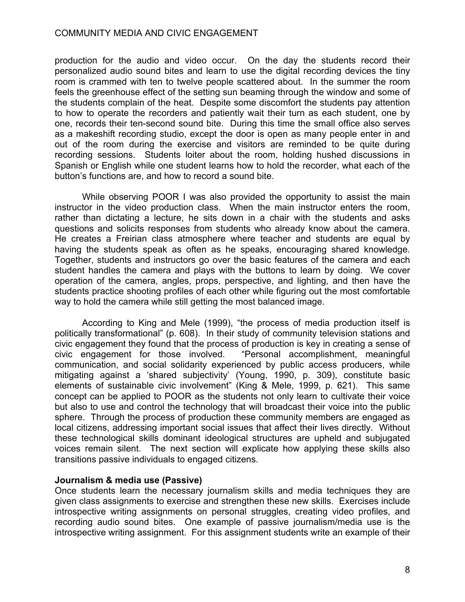production for the audio and video occur. On the day the students record their personalized audio sound bites and learn to use the digital recording devices the tiny room is crammed with ten to twelve people scattered about. In the summer the room feels the greenhouse effect of the setting sun beaming through the window and some of the students complain of the heat. Despite some discomfort the students pay attention to how to operate the recorders and patiently wait their turn as each student, one by one, records their ten-second sound bite. During this time the small office also serves as a makeshift recording studio, except the door is open as many people enter in and out of the room during the exercise and visitors are reminded to be quite during recording sessions. Students loiter about the room, holding hushed discussions in Spanish or English while one student learns how to hold the recorder, what each of the button's functions are, and how to record a sound bite.

While observing POOR I was also provided the opportunity to assist the main instructor in the video production class. When the main instructor enters the room, rather than dictating a lecture, he sits down in a chair with the students and asks questions and solicits responses from students who already know about the camera. He creates a Freirian class atmosphere where teacher and students are equal by having the students speak as often as he speaks, encouraging shared knowledge. Together, students and instructors go over the basic features of the camera and each student handles the camera and plays with the buttons to learn by doing. We cover operation of the camera, angles, props, perspective, and lighting, and then have the students practice shooting profiles of each other while figuring out the most comfortable way to hold the camera while still getting the most balanced image.

According to King and Mele (1999), "the process of media production itself is politically transformational" (p. 608). In their study of community television stations and civic engagement they found that the process of production is key in creating a sense of civic engagement for those involved. "Personal accomplishment, meaningful communication, and social solidarity experienced by public access producers, while mitigating against a 'shared subjectivity' (Young, 1990, p. 309), constitute basic elements of sustainable civic involvement" (King & Mele, 1999, p. 621). This same concept can be applied to POOR as the students not only learn to cultivate their voice but also to use and control the technology that will broadcast their voice into the public sphere. Through the process of production these community members are engaged as local citizens, addressing important social issues that affect their lives directly. Without these technological skills dominant ideological structures are upheld and subjugated voices remain silent. The next section will explicate how applying these skills also transitions passive individuals to engaged citizens.

#### **Journalism & media use (Passive)**

Once students learn the necessary journalism skills and media techniques they are given class assignments to exercise and strengthen these new skills. Exercises include introspective writing assignments on personal struggles, creating video profiles, and recording audio sound bites. One example of passive journalism/media use is the introspective writing assignment. For this assignment students write an example of their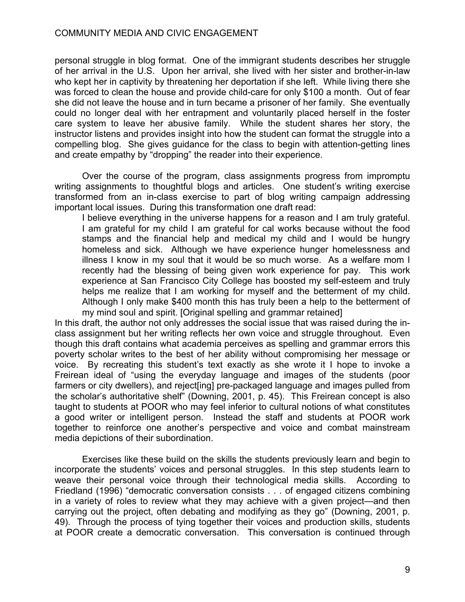personal struggle in blog format. One of the immigrant students describes her struggle of her arrival in the U.S. Upon her arrival, she lived with her sister and brother-in-law who kept her in captivity by threatening her deportation if she left. While living there she was forced to clean the house and provide child-care for only \$100 a month. Out of fear she did not leave the house and in turn became a prisoner of her family. She eventually could no longer deal with her entrapment and voluntarily placed herself in the foster care system to leave her abusive family. While the student shares her story, the instructor listens and provides insight into how the student can format the struggle into a compelling blog. She gives guidance for the class to begin with attention-getting lines and create empathy by "dropping" the reader into their experience.

Over the course of the program, class assignments progress from impromptu writing assignments to thoughtful blogs and articles. One student's writing exercise transformed from an in-class exercise to part of blog writing campaign addressing important local issues. During this transformation one draft read:

I believe everything in the universe happens for a reason and I am truly grateful. I am grateful for my child I am grateful for cal works because without the food stamps and the financial help and medical my child and I would be hungry homeless and sick. Although we have experience hunger homelessness and illness I know in my soul that it would be so much worse. As a welfare mom I recently had the blessing of being given work experience for pay. This work experience at San Francisco City College has boosted my self-esteem and truly helps me realize that I am working for myself and the betterment of my child. Although I only make \$400 month this has truly been a help to the betterment of my mind soul and spirit. [Original spelling and grammar retained]

In this draft, the author not only addresses the social issue that was raised during the inclass assignment but her writing reflects her own voice and struggle throughout. Even though this draft contains what academia perceives as spelling and grammar errors this poverty scholar writes to the best of her ability without compromising her message or voice. By recreating this student's text exactly as she wrote it I hope to invoke a Freirean ideal of "using the everyday language and images of the students (poor farmers or city dwellers), and reject [ing] pre-packaged language and images pulled from the scholar's authoritative shelf" (Downing, 2001, p. 45). This Freirean concept is also taught to students at POOR who may feel inferior to cultural notions of what constitutes a good writer or intelligent person. Instead the staff and students at POOR work together to reinforce one another's perspective and voice and combat mainstream media depictions of their subordination.

Exercises like these build on the skills the students previously learn and begin to incorporate the students' voices and personal struggles. In this step students learn to weave their personal voice through their technological media skills. According to Friedland (1996) "democratic conversation consists . . . of engaged citizens combining in a variety of roles to review what they may achieve with a given project—and then carrying out the project, often debating and modifying as they go" (Downing, 2001, p. 49). Through the process of tying together their voices and production skills, students at POOR create a democratic conversation. This conversation is continued through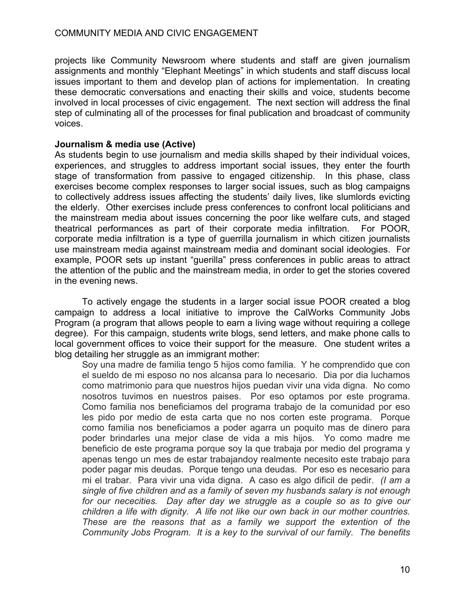projects like Community Newsroom where students and staff are given journalism assignments and monthly "Elephant Meetings" in which students and staff discuss local issues important to them and develop plan of actions for implementation. In creating these democratic conversations and enacting their skills and voice, students become involved in local processes of civic engagement. The next section will address the final step of culminating all of the processes for final publication and broadcast of community voices.

## **Journalism & media use (Active)**

As students begin to use journalism and media skills shaped by their individual voices, experiences, and struggles to address important social issues, they enter the fourth stage of transformation from passive to engaged citizenship. In this phase, class exercises become complex responses to larger social issues, such as blog campaigns to collectively address issues affecting the students' daily lives, like slumlords evicting the elderly. Other exercises include press conferences to confront local politicians and the mainstream media about issues concerning the poor like welfare cuts, and staged theatrical performances as part of their corporate media infiltration. For POOR, corporate media infiltration is a type of guerrilla journalism in which citizen journalists use mainstream media against mainstream media and dominant social ideologies. For example, POOR sets up instant "guerilla" press conferences in public areas to attract the attention of the public and the mainstream media, in order to get the stories covered in the evening news.

To actively engage the students in a larger social issue POOR created a blog campaign to address a local initiative to improve the CalWorks Community Jobs Program (a program that allows people to earn a living wage without requiring a college degree). For this campaign, students write blogs, send letters, and make phone calls to local government offices to voice their support for the measure. One student writes a blog detailing her struggle as an immigrant mother:

Soy una madre de familia tengo 5 hijos como familia. Y he comprendido que con el sueldo de mi esposo no nos alcansa para lo necesario. Dia por dia luchamos como matrimonio para que nuestros hijos puedan vivir una vida digna. No como nosotros tuvimos en nuestros paises. Por eso optamos por este programa. Como familia nos beneficiamos del programa trabajo de la comunidad por eso les pido por medio de esta carta que no nos corten este programa. Porque como familia nos beneficiamos a poder agarra un poquito mas de dinero para poder brindarles una mejor clase de vida a mis hijos. Yo como madre me beneficio de este programa porque soy la que trabaja por medio del programa y apenas tengo un mes de estar trabajandoy realmente necesito este trabajo para poder pagar mis deudas. Porque tengo una deudas. Por eso es necesario para mi el trabar. Para vivir una vida digna. A caso es algo dificil de pedir. *(I am a single of five children and as a family of seven my husbands salary is not enough for our nececities. Day after day we struggle as a couple so as to give our children a life with dignity. A life not like our own back in our mother countries. These are the reasons that as a family we support the extention of the Community Jobs Program. It is a key to the survival of our family. The benefits*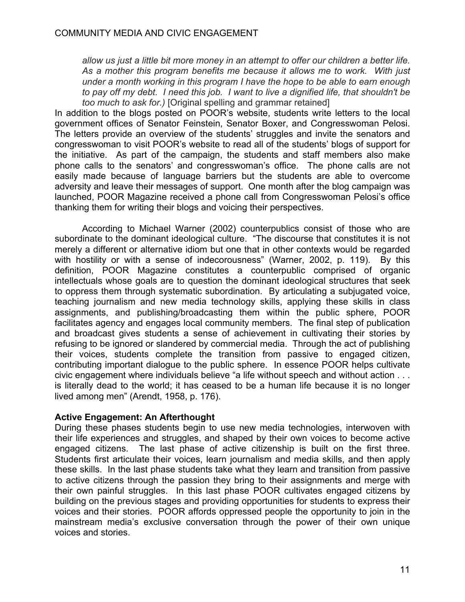*allow us just a little bit more money in an attempt to offer our children a better life. As a mother this program benefits me because it allows me to work. With just under a month working in this program I have the hope to be able to earn enough to pay off my debt. I need this job. I want to live a dignified life, that shouldn't be too much to ask for.)* [Original spelling and grammar retained]

In addition to the blogs posted on POOR's website, students write letters to the local government offices of Senator Feinstein, Senator Boxer, and Congresswoman Pelosi. The letters provide an overview of the students' struggles and invite the senators and congresswoman to visit POOR's website to read all of the students' blogs of support for the initiative. As part of the campaign, the students and staff members also make phone calls to the senators' and congresswoman's office. The phone calls are not easily made because of language barriers but the students are able to overcome adversity and leave their messages of support. One month after the blog campaign was launched, POOR Magazine received a phone call from Congresswoman Pelosi's office thanking them for writing their blogs and voicing their perspectives.

According to Michael Warner (2002) counterpublics consist of those who are subordinate to the dominant ideological culture. "The discourse that constitutes it is not merely a different or alternative idiom but one that in other contexts would be regarded with hostility or with a sense of indecorousness" (Warner, 2002, p. 119). By this definition, POOR Magazine constitutes a counterpublic comprised of organic intellectuals whose goals are to question the dominant ideological structures that seek to oppress them through systematic subordination. By articulating a subjugated voice, teaching journalism and new media technology skills, applying these skills in class assignments, and publishing/broadcasting them within the public sphere, POOR facilitates agency and engages local community members. The final step of publication and broadcast gives students a sense of achievement in cultivating their stories by refusing to be ignored or slandered by commercial media. Through the act of publishing their voices, students complete the transition from passive to engaged citizen, contributing important dialogue to the public sphere. In essence POOR helps cultivate civic engagement where individuals believe "a life without speech and without action . . . is literally dead to the world; it has ceased to be a human life because it is no longer lived among men" (Arendt, 1958, p. 176).

## **Active Engagement: An Afterthought**

During these phases students begin to use new media technologies, interwoven with their life experiences and struggles, and shaped by their own voices to become active engaged citizens. The last phase of active citizenship is built on the first three. Students first articulate their voices, learn journalism and media skills, and then apply these skills. In the last phase students take what they learn and transition from passive to active citizens through the passion they bring to their assignments and merge with their own painful struggles. In this last phase POOR cultivates engaged citizens by building on the previous stages and providing opportunities for students to express their voices and their stories. POOR affords oppressed people the opportunity to join in the mainstream media's exclusive conversation through the power of their own unique voices and stories.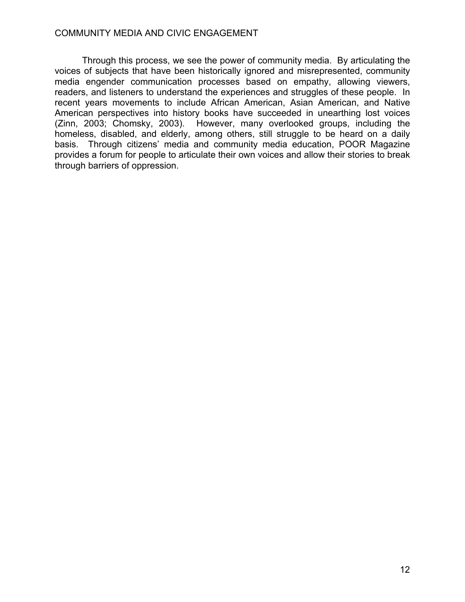Through this process, we see the power of community media. By articulating the voices of subjects that have been historically ignored and misrepresented, community media engender communication processes based on empathy, allowing viewers, readers, and listeners to understand the experiences and struggles of these people. In recent years movements to include African American, Asian American, and Native American perspectives into history books have succeeded in unearthing lost voices (Zinn, 2003; Chomsky, 2003). However, many overlooked groups, including the homeless, disabled, and elderly, among others, still struggle to be heard on a daily basis. Through citizens' media and community media education, POOR Magazine provides a forum for people to articulate their own voices and allow their stories to break through barriers of oppression.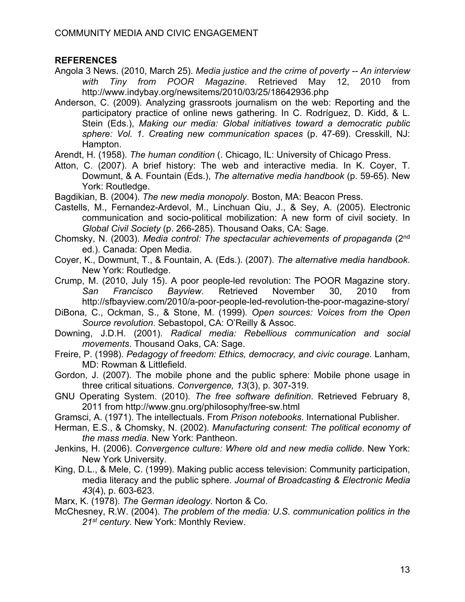# **REFERENCES**

- Angola 3 News. (2010, March 25). *Media justice and the crime of poverty -- An interview with Tiny from POOR Magazine*. Retrieved May 12, 2010 from http://www.indybay.org/newsitems/2010/03/25/18642936.php
- Anderson, C. (2009). Analyzing grassroots journalism on the web: Reporting and the participatory practice of online news gathering. In C. Rodríguez, D. Kidd, & L. Stein (Eds.), *Making our media: Global initiatives toward a democratic public sphere: Vol. 1. Creating new communication spaces* (p. 47-69). Cresskill, NJ: Hampton.
- Arendt, H. (1958). *The human condition* (. Chicago, IL: University of Chicago Press.
- Atton, C. (2007). A brief history: The web and interactive media. In K. Coyer, T. Dowmunt, & A. Fountain (Eds.), *The alternative media handbook* (p. 59-65). New York: Routledge.
- Bagdikian, B. (2004). *The new media monopoly*. Boston, MA: Beacon Press.
- Castells, M., Fernandez-Ardevol, M., Linchuan Qiu, J., & Sey, A. (2005). Electronic communication and socio-political mobilization: A new form of civil society. In *Global Civil Society* (p. 266-285). Thousand Oaks, CA: Sage.
- Chomsky, N. (2003). *Media control: The spectacular achievements of propaganda* (2nd ed.). Canada: Open Media.
- Coyer, K., Dowmunt, T., & Fountain, A. (Eds.). (2007). *The alternative media handbook*. New York: Routledge.
- Crump, M. (2010, July 15). A poor people-led revolution: The POOR Magazine story. *San Francisco Bayview*. Retrieved November 30, 2010 from http://sfbayview.com/2010/a-poor-people-led-revolution-the-poor-magazine-story/
- DiBona, C., Ockman, S., & Stone, M. (1999). *Open sources: Voices from the Open Source revolution*. Sebastopol, CA: O'Reilly & Assoc.
- Downing, J.D.H. (2001). *Radical media: Rebellious communication and social movements*. Thousand Oaks, CA: Sage.
- Freire, P. (1998). *Pedagogy of freedom: Ethics, democracy, and civic courage*. Lanham, MD: Rowman & Littlefield.
- Gordon, J. (2007). The mobile phone and the public sphere: Mobile phone usage in three critical situations. *Convergence, 13*(3), p. 307-319.
- GNU Operating System. (2010). *The free software definition*. Retrieved February 8, 2011 from http://www.gnu.org/philosophy/free-sw.html
- Gramsci, A. (1971). The intellectuals. From *Prison notebooks*. International Publisher.
- Herman, E.S., & Chomsky, N. (2002). *Manufacturing consent: The political economy of the mass media*. New York: Pantheon.
- Jenkins, H. (2006). *Convergence culture: Where old and new media collide*. New York: New York University.
- King, D.L., & Mele, C. (1999). Making public access television: Community participation, media literacy and the public sphere. *Journal of Broadcasting & Electronic Media 43*(4), p. 603-623.
- Marx, K. (1978). *The German ideology*. Norton & Co.
- McChesney, R.W. (2004). *The problem of the media: U.S. communication politics in the 21st century*. New York: Monthly Review.